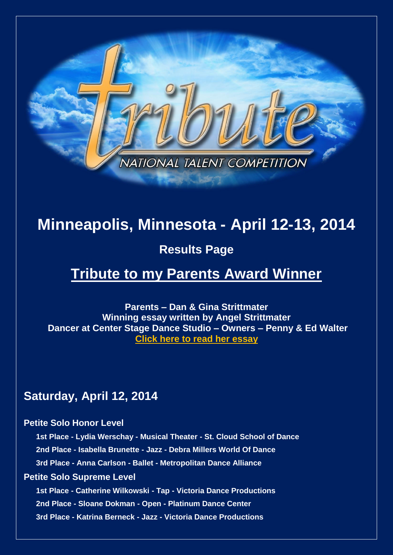

# **Minneapolis, Minnesota - April 12-13, 2014**

# **Results Page**

# **Tribute to my Parents Award Winner**

**Parents – Dan & Gina Strittmater Winning essay written by Angel Strittmater Dancer at Center Stage Dance Studio – Owners – Penny & Ed Walter [Click here to read her essay](http://www.tributetodance.com/2014/essays/minnessay14.pdf)** 

# **Saturday, April 12, 2014**

# **Petite Solo Honor Level**

**1st Place - Lydia Werschay - Musical Theater - St. Cloud School of Dance 2nd Place - Isabella Brunette - Jazz - Debra Millers World Of Dance 3rd Place - Anna Carlson - Ballet - Metropolitan Dance Alliance**

# **Petite Solo Supreme Level**

**1st Place - Catherine Wilkowski - Tap - Victoria Dance Productions 2nd Place - Sloane Dokman - Open - Platinum Dance Center 3rd Place - Katrina Berneck - Jazz - Victoria Dance Productions**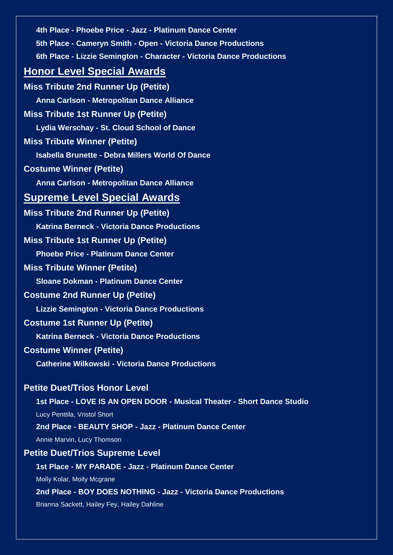**4th Place - Phoebe Price - Jazz - Platinum Dance Center 5th Place - Cameryn Smith - Open - Victoria Dance Productions 6th Place - Lizzie Semington - Character - Victoria Dance Productions Honor Level Special Awards Miss Tribute 2nd Runner Up (Petite) Anna Carlson - Metropolitan Dance Alliance Miss Tribute 1st Runner Up (Petite) Lydia Werschay - St. Cloud School of Dance Miss Tribute Winner (Petite) Isabella Brunette - Debra Millers World Of Dance Costume Winner (Petite) Anna Carlson - Metropolitan Dance Alliance Supreme Level Special Awards Miss Tribute 2nd Runner Up (Petite) Katrina Berneck - Victoria Dance Productions Miss Tribute 1st Runner Up (Petite) Phoebe Price - Platinum Dance Center Miss Tribute Winner (Petite) Sloane Dokman - Platinum Dance Center Costume 2nd Runner Up (Petite) Lizzie Semington - Victoria Dance Productions Costume 1st Runner Up (Petite) Katrina Berneck - Victoria Dance Productions Costume Winner (Petite) Catherine Wilkowski - Victoria Dance Productions Petite Duet/Trios Honor Level 1st Place - LOVE IS AN OPEN DOOR - Musical Theater - Short Dance Studio** Lucy Penttila, Vristol Short **2nd Place - BEAUTY SHOP - Jazz - Platinum Dance Center** Annie Marvin, Lucy Thomson **Petite Duet/Trios Supreme Level**

**1st Place - MY PARADE - Jazz - Platinum Dance Center**

Molly Kolar, Molly Mcgrane

**2nd Place - BOY DOES NOTHING - Jazz - Victoria Dance Productions** Brianna Sackett, Hailey Fey, Hailey Dahline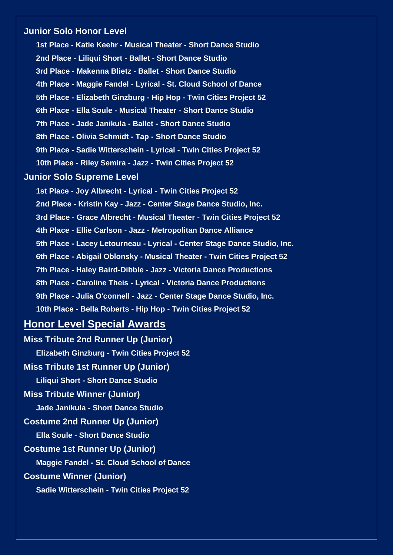# **Junior Solo Honor Level**

**1st Place - Katie Keehr - Musical Theater - Short Dance Studio 2nd Place - Liliqui Short - Ballet - Short Dance Studio 3rd Place - Makenna Blietz - Ballet - Short Dance Studio 4th Place - Maggie Fandel - Lyrical - St. Cloud School of Dance 5th Place - Elizabeth Ginzburg - Hip Hop - Twin Cities Project 52 6th Place - Ella Soule - Musical Theater - Short Dance Studio 7th Place - Jade Janikula - Ballet - Short Dance Studio 8th Place - Olivia Schmidt - Tap - Short Dance Studio 9th Place - Sadie Witterschein - Lyrical - Twin Cities Project 52 10th Place - Riley Semira - Jazz - Twin Cities Project 52**

# **Junior Solo Supreme Level**

**1st Place - Joy Albrecht - Lyrical - Twin Cities Project 52 2nd Place - Kristin Kay - Jazz - Center Stage Dance Studio, Inc. 3rd Place - Grace Albrecht - Musical Theater - Twin Cities Project 52 4th Place - Ellie Carlson - Jazz - Metropolitan Dance Alliance 5th Place - Lacey Letourneau - Lyrical - Center Stage Dance Studio, Inc. 6th Place - Abigail Oblonsky - Musical Theater - Twin Cities Project 52 7th Place - Haley Baird-Dibble - Jazz - Victoria Dance Productions 8th Place - Caroline Theis - Lyrical - Victoria Dance Productions 9th Place - Julia O'connell - Jazz - Center Stage Dance Studio, Inc. 10th Place - Bella Roberts - Hip Hop - Twin Cities Project 52**

# **Honor Level Special Awards**

**Miss Tribute 2nd Runner Up (Junior) Elizabeth Ginzburg - Twin Cities Project 52 Miss Tribute 1st Runner Up (Junior) Liliqui Short - Short Dance Studio Miss Tribute Winner (Junior) Jade Janikula - Short Dance Studio Costume 2nd Runner Up (Junior) Ella Soule - Short Dance Studio Costume 1st Runner Up (Junior) Maggie Fandel - St. Cloud School of Dance Costume Winner (Junior) Sadie Witterschein - Twin Cities Project 52**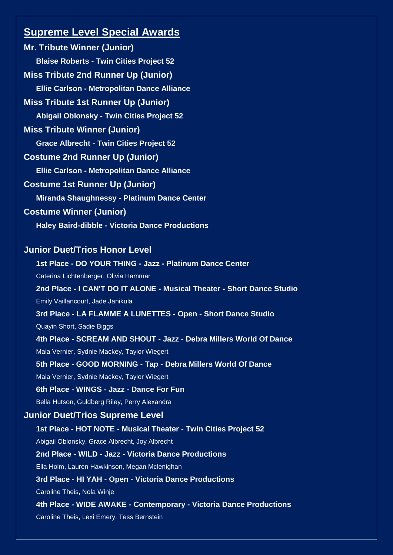# **Supreme Level Special Awards**

**Mr. Tribute Winner (Junior) Blaise Roberts - Twin Cities Project 52 Miss Tribute 2nd Runner Up (Junior) Ellie Carlson - Metropolitan Dance Alliance Miss Tribute 1st Runner Up (Junior) Abigail Oblonsky - Twin Cities Project 52 Miss Tribute Winner (Junior) Grace Albrecht - Twin Cities Project 52 Costume 2nd Runner Up (Junior) Ellie Carlson - Metropolitan Dance Alliance Costume 1st Runner Up (Junior) Miranda Shaughnessy - Platinum Dance Center Costume Winner (Junior) Haley Baird-dibble - Victoria Dance Productions Junior Duet/Trios Honor Level 1st Place - DO YOUR THING - Jazz - Platinum Dance Center** Caterina Lichtenberger, Olivia Hammar **2nd Place - I CAN'T DO IT ALONE - Musical Theater - Short Dance Studio**

Emily Vaillancourt, Jade Janikula **3rd Place - LA FLAMME A LUNETTES - Open - Short Dance Studio** Quayin Short, Sadie Biggs **4th Place - SCREAM AND SHOUT - Jazz - Debra Millers World Of Dance** Maia Vernier, Sydnie Mackey, Taylor Wiegert **5th Place - GOOD MORNING - Tap - Debra Millers World Of Dance** Maia Vernier, Sydnie Mackey, Taylor Wiegert **6th Place - WINGS - Jazz - Dance For Fun** Bella Hutson, Guldberg Riley, Perry Alexandra **Junior Duet/Trios Supreme Level**

**1st Place - HOT NOTE - Musical Theater - Twin Cities Project 52**

**2nd Place - WILD - Jazz - Victoria Dance Productions**

Abigail Oblonsky, Grace Albrecht, Joy Albrecht

Ella Holm, Lauren Hawkinson, Megan Mclenighan **3rd Place - HI YAH - Open - Victoria Dance Productions** Caroline Theis, Nola Winje **4th Place - WIDE AWAKE - Contemporary - Victoria Dance Productions** Caroline Theis, Lexi Emery, Tess Bernstein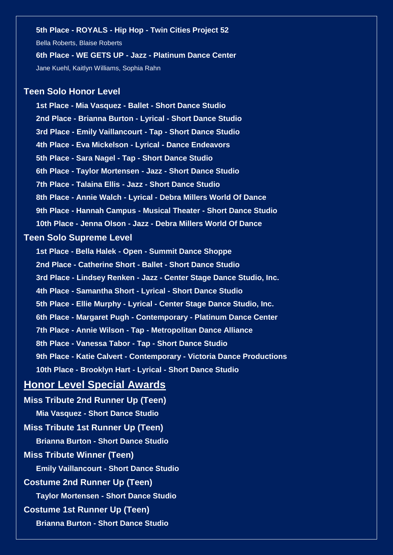**5th Place - ROYALS - Hip Hop - Twin Cities Project 52** Bella Roberts, Blaise Roberts **6th Place - WE GETS UP - Jazz - Platinum Dance Center** Jane Kuehl, Kaitlyn Williams, Sophia Rahn

# **Teen Solo Honor Level**

**1st Place - Mia Vasquez - Ballet - Short Dance Studio 2nd Place - Brianna Burton - Lyrical - Short Dance Studio 3rd Place - Emily Vaillancourt - Tap - Short Dance Studio 4th Place - Eva Mickelson - Lyrical - Dance Endeavors 5th Place - Sara Nagel - Tap - Short Dance Studio 6th Place - Taylor Mortensen - Jazz - Short Dance Studio 7th Place - Talaina Ellis - Jazz - Short Dance Studio 8th Place - Annie Walch - Lyrical - Debra Millers World Of Dance 9th Place - Hannah Campus - Musical Theater - Short Dance Studio 10th Place - Jenna Olson - Jazz - Debra Millers World Of Dance**

#### **Teen Solo Supreme Level**

**1st Place - Bella Halek - Open - Summit Dance Shoppe 2nd Place - Catherine Short - Ballet - Short Dance Studio 3rd Place - Lindsey Renken - Jazz - Center Stage Dance Studio, Inc. 4th Place - Samantha Short - Lyrical - Short Dance Studio 5th Place - Ellie Murphy - Lyrical - Center Stage Dance Studio, Inc. 6th Place - Margaret Pugh - Contemporary - Platinum Dance Center 7th Place - Annie Wilson - Tap - Metropolitan Dance Alliance 8th Place - Vanessa Tabor - Tap - Short Dance Studio 9th Place - Katie Calvert - Contemporary - Victoria Dance Productions 10th Place - Brooklyn Hart - Lyrical - Short Dance Studio**

# **Honor Level Special Awards**

**Miss Tribute 2nd Runner Up (Teen) Mia Vasquez - Short Dance Studio Miss Tribute 1st Runner Up (Teen) Brianna Burton - Short Dance Studio Miss Tribute Winner (Teen) Emily Vaillancourt - Short Dance Studio Costume 2nd Runner Up (Teen) Taylor Mortensen - Short Dance Studio Costume 1st Runner Up (Teen) Brianna Burton - Short Dance Studio**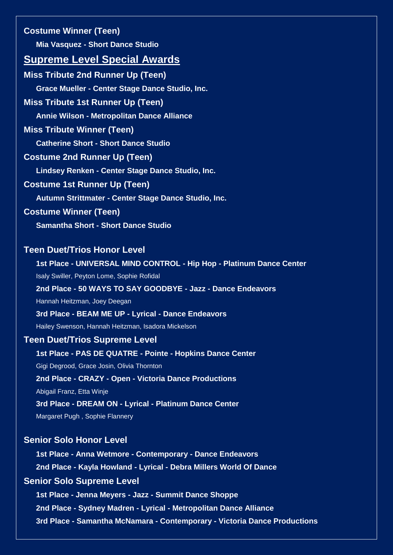**Costume Winner (Teen) Mia Vasquez - Short Dance Studio**

# **Supreme Level Special Awards**

**Miss Tribute 2nd Runner Up (Teen) Grace Mueller - Center Stage Dance Studio, Inc. Miss Tribute 1st Runner Up (Teen) Annie Wilson - Metropolitan Dance Alliance Miss Tribute Winner (Teen) Catherine Short - Short Dance Studio Costume 2nd Runner Up (Teen) Lindsey Renken - Center Stage Dance Studio, Inc. Costume 1st Runner Up (Teen) Autumn Strittmater - Center Stage Dance Studio, Inc. Costume Winner (Teen) Samantha Short - Short Dance Studio**

# **Teen Duet/Trios Honor Level**

**1st Place - UNIVERSAL MIND CONTROL - Hip Hop - Platinum Dance Center** Isaly Swiller, Peyton Lome, Sophie Rofidal **2nd Place - 50 WAYS TO SAY GOODBYE - Jazz - Dance Endeavors** Hannah Heitzman, Joey Deegan **3rd Place - BEAM ME UP - Lyrical - Dance Endeavors** Hailey Swenson, Hannah Heitzman, Isadora Mickelson **Teen Duet/Trios Supreme Level 1st Place - PAS DE QUATRE - Pointe - Hopkins Dance Center**

Gigi Degrood, Grace Josin, Olivia Thornton **2nd Place - CRAZY - Open - Victoria Dance Productions**

Abigail Franz, Etta Winje

**3rd Place - DREAM ON - Lyrical - Platinum Dance Center**

Margaret Pugh , Sophie Flannery

# **Senior Solo Honor Level**

**1st Place - Anna Wetmore - Contemporary - Dance Endeavors 2nd Place - Kayla Howland - Lyrical - Debra Millers World Of Dance**

# **Senior Solo Supreme Level**

**1st Place - Jenna Meyers - Jazz - Summit Dance Shoppe 2nd Place - Sydney Madren - Lyrical - Metropolitan Dance Alliance 3rd Place - Samantha McNamara - Contemporary - Victoria Dance Productions**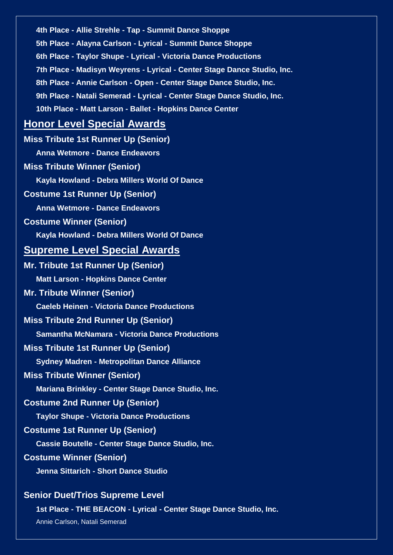**4th Place - Allie Strehle - Tap - Summit Dance Shoppe 5th Place - Alayna Carlson - Lyrical - Summit Dance Shoppe 6th Place - Taylor Shupe - Lyrical - Victoria Dance Productions 7th Place - Madisyn Weyrens - Lyrical - Center Stage Dance Studio, Inc. 8th Place - Annie Carlson - Open - Center Stage Dance Studio, Inc. 9th Place - Natali Semerad - Lyrical - Center Stage Dance Studio, Inc. 10th Place - Matt Larson - Ballet - Hopkins Dance Center Honor Level Special Awards Miss Tribute 1st Runner Up (Senior) Anna Wetmore - Dance Endeavors Miss Tribute Winner (Senior) Kayla Howland - Debra Millers World Of Dance Costume 1st Runner Up (Senior) Anna Wetmore - Dance Endeavors Costume Winner (Senior) Kayla Howland - Debra Millers World Of Dance Supreme Level Special Awards Mr. Tribute 1st Runner Up (Senior) Matt Larson - Hopkins Dance Center Mr. Tribute Winner (Senior) Caeleb Heinen - Victoria Dance Productions Miss Tribute 2nd Runner Up (Senior) Samantha McNamara - Victoria Dance Productions Miss Tribute 1st Runner Up (Senior) Sydney Madren - Metropolitan Dance Alliance Miss Tribute Winner (Senior) Mariana Brinkley - Center Stage Dance Studio, Inc. Costume 2nd Runner Up (Senior) Taylor Shupe - Victoria Dance Productions Costume 1st Runner Up (Senior) Cassie Boutelle - Center Stage Dance Studio, Inc. Costume Winner (Senior) Jenna Sittarich - Short Dance Studio Senior Duet/Trios Supreme Level 1st Place - THE BEACON - Lyrical - Center Stage Dance Studio, Inc.**

Annie Carlson, Natali Semerad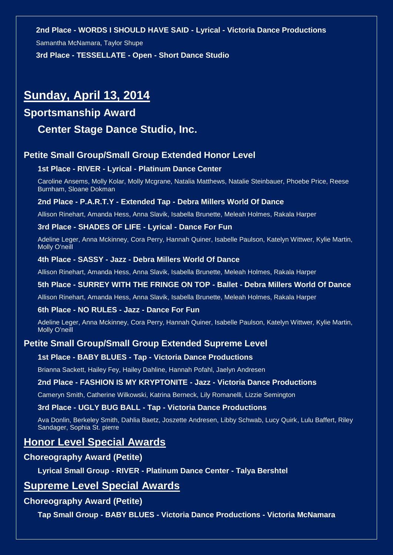#### **2nd Place - WORDS I SHOULD HAVE SAID - Lyrical - Victoria Dance Productions**

Samantha McNamara, Taylor Shupe

**3rd Place - TESSELLATE - Open - Short Dance Studio**

# **Sunday, April 13, 2014**

# **Sportsmanship Award**

# **Center Stage Dance Studio, Inc.**

# **Petite Small Group/Small Group Extended Honor Level**

#### **1st Place - RIVER - Lyrical - Platinum Dance Center**

Caroline Ansems, Molly Kolar, Molly Mcgrane, Natalia Matthews, Natalie Steinbauer, Phoebe Price, Reese Burnham, Sloane Dokman

#### **2nd Place - P.A.R.T.Y - Extended Tap - Debra Millers World Of Dance**

Allison Rinehart, Amanda Hess, Anna Slavik, Isabella Brunette, Meleah Holmes, Rakala Harper

### **3rd Place - SHADES OF LIFE - Lyrical - Dance For Fun**

Adeline Leger, Anna Mckinney, Cora Perry, Hannah Quiner, Isabelle Paulson, Katelyn Wittwer, Kylie Martin, Molly O'neill

#### **4th Place - SASSY - Jazz - Debra Millers World Of Dance**

Allison Rinehart, Amanda Hess, Anna Slavik, Isabella Brunette, Meleah Holmes, Rakala Harper

#### **5th Place - SURREY WITH THE FRINGE ON TOP - Ballet - Debra Millers World Of Dance**

Allison Rinehart, Amanda Hess, Anna Slavik, Isabella Brunette, Meleah Holmes, Rakala Harper

#### **6th Place - NO RULES - Jazz - Dance For Fun**

Adeline Leger, Anna Mckinney, Cora Perry, Hannah Quiner, Isabelle Paulson, Katelyn Wittwer, Kylie Martin, Molly O'neill

# **Petite Small Group/Small Group Extended Supreme Level**

#### **1st Place - BABY BLUES - Tap - Victoria Dance Productions**

Brianna Sackett, Hailey Fey, Hailey Dahline, Hannah Pofahl, Jaelyn Andresen

#### **2nd Place - FASHION IS MY KRYPTONITE - Jazz - Victoria Dance Productions**

Cameryn Smith, Catherine Wilkowski, Katrina Berneck, Lily Romanelli, Lizzie Semington

# **3rd Place - UGLY BUG BALL - Tap - Victoria Dance Productions**

Ava Donlin, Berkeley Smith, Dahlia Baetz, Joszette Andresen, Libby Schwab, Lucy Quirk, Lulu Baffert, Riley Sandager, Sophia St. pierre

# **Honor Level Special Awards**

### **Choreography Award (Petite)**

**Lyrical Small Group - RIVER - Platinum Dance Center - Talya Bershtel**

# **Supreme Level Special Awards**

#### **Choreography Award (Petite)**

**Tap Small Group - BABY BLUES - Victoria Dance Productions - Victoria McNamara**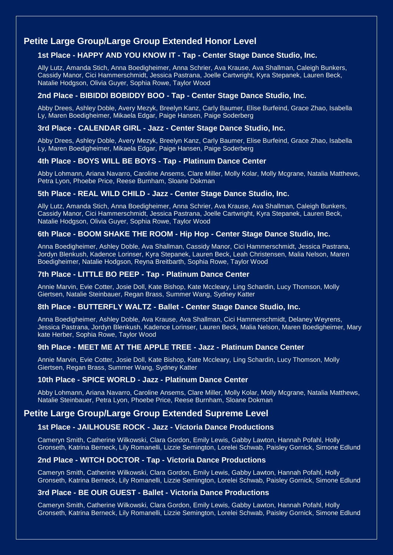# **Petite Large Group/Large Group Extended Honor Level**

# **1st Place - HAPPY AND YOU KNOW IT - Tap - Center Stage Dance Studio, Inc.**

Ally Lutz, Amanda Stich, Anna Boedigheimer, Anna Schrier, Ava Krause, Ava Shallman, Caleigh Bunkers, Cassidy Manor, Cici Hammerschmidt, Jessica Pastrana, Joelle Cartwright, Kyra Stepanek, Lauren Beck, Natalie Hodgson, Olivia Guyer, Sophia Rowe, Taylor Wood

## **2nd Place - BIBIDDI BOBIDDY BOO - Tap - Center Stage Dance Studio, Inc.**

Abby Drees, Ashley Doble, Avery Mezyk, Breelyn Kanz, Carly Baumer, Elise Burfeind, Grace Zhao, Isabella Ly, Maren Boedigheimer, Mikaela Edgar, Paige Hansen, Paige Soderberg

### **3rd Place - CALENDAR GIRL - Jazz - Center Stage Dance Studio, Inc.**

Abby Drees, Ashley Doble, Avery Mezyk, Breelyn Kanz, Carly Baumer, Elise Burfeind, Grace Zhao, Isabella Ly, Maren Boedigheimer, Mikaela Edgar, Paige Hansen, Paige Soderberg

#### **4th Place - BOYS WILL BE BOYS - Tap - Platinum Dance Center**

Abby Lohmann, Ariana Navarro, Caroline Ansems, Clare Miller, Molly Kolar, Molly Mcgrane, Natalia Matthews, Petra Lyon, Phoebe Price, Reese Burnham, Sloane Dokman

#### **5th Place - REAL WILD CHILD - Jazz - Center Stage Dance Studio, Inc.**

Ally Lutz, Amanda Stich, Anna Boedigheimer, Anna Schrier, Ava Krause, Ava Shallman, Caleigh Bunkers, Cassidy Manor, Cici Hammerschmidt, Jessica Pastrana, Joelle Cartwright, Kyra Stepanek, Lauren Beck, Natalie Hodgson, Olivia Guyer, Sophia Rowe, Taylor Wood

## **6th Place - BOOM SHAKE THE ROOM - Hip Hop - Center Stage Dance Studio, Inc.**

Anna Boedigheimer, Ashley Doble, Ava Shallman, Cassidy Manor, Cici Hammerschmidt, Jessica Pastrana, Jordyn Blenkush, Kadence Lorinser, Kyra Stepanek, Lauren Beck, Leah Christensen, Malia Nelson, Maren Boedigheimer, Natalie Hodgson, Reyna Breitbarth, Sophia Rowe, Taylor Wood

### **7th Place - LITTLE BO PEEP - Tap - Platinum Dance Center**

Annie Marvin, Evie Cotter, Josie Doll, Kate Bishop, Kate Mccleary, Ling Schardin, Lucy Thomson, Molly Giertsen, Natalie Steinbauer, Regan Brass, Summer Wang, Sydney Katter

#### **8th Place - BUTTERFLY WALTZ - Ballet - Center Stage Dance Studio, Inc.**

Anna Boedigheimer, Ashley Doble, Ava Krause, Ava Shallman, Cici Hammerschmidt, Delaney Weyrens, Jessica Pastrana, Jordyn Blenkush, Kadence Lorinser, Lauren Beck, Malia Nelson, Maren Boedigheimer, Mary kate Herber, Sophia Rowe, Taylor Wood

#### **9th Place - MEET ME AT THE APPLE TREE - Jazz - Platinum Dance Center**

Annie Marvin, Evie Cotter, Josie Doll, Kate Bishop, Kate Mccleary, Ling Schardin, Lucy Thomson, Molly Giertsen, Regan Brass, Summer Wang, Sydney Katter

#### **10th Place - SPICE WORLD - Jazz - Platinum Dance Center**

Abby Lohmann, Ariana Navarro, Caroline Ansems, Clare Miller, Molly Kolar, Molly Mcgrane, Natalia Matthews, Natalie Steinbauer, Petra Lyon, Phoebe Price, Reese Burnham, Sloane Dokman

## **Petite Large Group/Large Group Extended Supreme Level**

#### **1st Place - JAILHOUSE ROCK - Jazz - Victoria Dance Productions**

Cameryn Smith, Catherine Wilkowski, Clara Gordon, Emily Lewis, Gabby Lawton, Hannah Pofahl, Holly Gronseth, Katrina Berneck, Lily Romanelli, Lizzie Semington, Lorelei Schwab, Paisley Gornick, Simone Edlund

#### **2nd Place - WITCH DOCTOR - Tap - Victoria Dance Productions**

Cameryn Smith, Catherine Wilkowski, Clara Gordon, Emily Lewis, Gabby Lawton, Hannah Pofahl, Holly Gronseth, Katrina Berneck, Lily Romanelli, Lizzie Semington, Lorelei Schwab, Paisley Gornick, Simone Edlund

#### **3rd Place - BE OUR GUEST - Ballet - Victoria Dance Productions**

Cameryn Smith, Catherine Wilkowski, Clara Gordon, Emily Lewis, Gabby Lawton, Hannah Pofahl, Holly Gronseth, Katrina Berneck, Lily Romanelli, Lizzie Semington, Lorelei Schwab, Paisley Gornick, Simone Edlund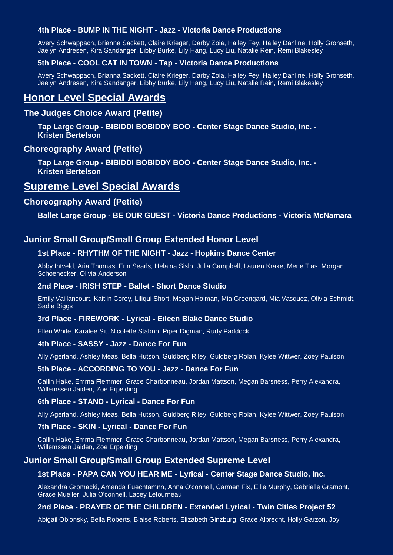#### **4th Place - BUMP IN THE NIGHT - Jazz - Victoria Dance Productions**

Avery Schwappach, Brianna Sackett, Claire Krieger, Darby Zoia, Hailey Fey, Hailey Dahline, Holly Gronseth, Jaelyn Andresen, Kira Sandanger, Libby Burke, Lily Hang, Lucy Liu, Natalie Rein, Remi Blakesley

### **5th Place - COOL CAT IN TOWN - Tap - Victoria Dance Productions**

Avery Schwappach, Brianna Sackett, Claire Krieger, Darby Zoia, Hailey Fey, Hailey Dahline, Holly Gronseth, Jaelyn Andresen, Kira Sandanger, Libby Burke, Lily Hang, Lucy Liu, Natalie Rein, Remi Blakesley

# **Honor Level Special Awards**

# **The Judges Choice Award (Petite)**

**Tap Large Group - BIBIDDI BOBIDDY BOO - Center Stage Dance Studio, Inc. - Kristen Bertelson**

#### **Choreography Award (Petite)**

**Tap Large Group - BIBIDDI BOBIDDY BOO - Center Stage Dance Studio, Inc. - Kristen Bertelson**

# **Supreme Level Special Awards**

# **Choreography Award (Petite)**

**Ballet Large Group - BE OUR GUEST - Victoria Dance Productions - Victoria McNamara**

# **Junior Small Group/Small Group Extended Honor Level**

#### **1st Place - RHYTHM OF THE NIGHT - Jazz - Hopkins Dance Center**

Abby Intveld, Aria Thomas, Erin Searls, Helaina Sislo, Julia Campbell, Lauren Krake, Mene Tlas, Morgan Schoenecker, Olivia Anderson

### **2nd Place - IRISH STEP - Ballet - Short Dance Studio**

Emily Vaillancourt, Kaitlin Corey, Liliqui Short, Megan Holman, Mia Greengard, Mia Vasquez, Olivia Schmidt, Sadie Biggs

# **3rd Place - FIREWORK - Lyrical - Eileen Blake Dance Studio**

Ellen White, Karalee Sit, Nicolette Stabno, Piper Digman, Rudy Paddock

#### **4th Place - SASSY - Jazz - Dance For Fun**

Ally Agerland, Ashley Meas, Bella Hutson, Guldberg Riley, Guldberg Rolan, Kylee Wittwer, Zoey Paulson

#### **5th Place - ACCORDING TO YOU - Jazz - Dance For Fun**

Callin Hake, Emma Flemmer, Grace Charbonneau, Jordan Mattson, Megan Barsness, Perry Alexandra, Willemssen Jaiden, Zoe Erpelding

#### **6th Place - STAND - Lyrical - Dance For Fun**

Ally Agerland, Ashley Meas, Bella Hutson, Guldberg Riley, Guldberg Rolan, Kylee Wittwer, Zoey Paulson

#### **7th Place - SKIN - Lyrical - Dance For Fun**

Callin Hake, Emma Flemmer, Grace Charbonneau, Jordan Mattson, Megan Barsness, Perry Alexandra, Willemssen Jaiden, Zoe Erpelding

#### **Junior Small Group/Small Group Extended Supreme Level**

#### **1st Place - PAPA CAN YOU HEAR ME - Lyrical - Center Stage Dance Studio, Inc.**

Alexandra Gromacki, Amanda Fuechtamnn, Anna O'connell, Carmen Fix, Ellie Murphy, Gabrielle Gramont, Grace Mueller, Julia O'connell, Lacey Letourneau

#### **2nd Place - PRAYER OF THE CHILDREN - Extended Lyrical - Twin Cities Project 52**

Abigail Oblonsky, Bella Roberts, Blaise Roberts, Elizabeth Ginzburg, Grace Albrecht, Holly Garzon, Joy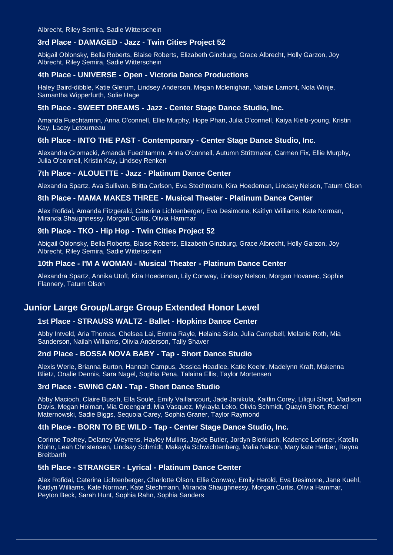Albrecht, Riley Semira, Sadie Witterschein

#### **3rd Place - DAMAGED - Jazz - Twin Cities Project 52**

Abigail Oblonsky, Bella Roberts, Blaise Roberts, Elizabeth Ginzburg, Grace Albrecht, Holly Garzon, Joy Albrecht, Riley Semira, Sadie Witterschein

#### **4th Place - UNIVERSE - Open - Victoria Dance Productions**

Haley Baird-dibble, Katie Glerum, Lindsey Anderson, Megan Mclenighan, Natalie Lamont, Nola Winje, Samantha Wipperfurth, Solie Hage

#### **5th Place - SWEET DREAMS - Jazz - Center Stage Dance Studio, Inc.**

Amanda Fuechtamnn, Anna O'connell, Ellie Murphy, Hope Phan, Julia O'connell, Kaiya Kielb-young, Kristin Kay, Lacey Letourneau

#### **6th Place - INTO THE PAST - Contemporary - Center Stage Dance Studio, Inc.**

Alexandra Gromacki, Amanda Fuechtamnn, Anna O'connell, Autumn Strittmater, Carmen Fix, Ellie Murphy, Julia O'connell, Kristin Kay, Lindsey Renken

#### **7th Place - ALOUETTE - Jazz - Platinum Dance Center**

Alexandra Spartz, Ava Sullivan, Britta Carlson, Eva Stechmann, Kira Hoedeman, Lindsay Nelson, Tatum Olson

#### **8th Place - MAMA MAKES THREE - Musical Theater - Platinum Dance Center**

Alex Rofidal, Amanda Fitzgerald, Caterina Lichtenberger, Eva Desimone, Kaitlyn Williams, Kate Norman, Miranda Shaughnessy, Morgan Curtis, Olivia Hammar

#### **9th Place - TKO - Hip Hop - Twin Cities Project 52**

Abigail Oblonsky, Bella Roberts, Blaise Roberts, Elizabeth Ginzburg, Grace Albrecht, Holly Garzon, Joy Albrecht, Riley Semira, Sadie Witterschein

#### **10th Place - I'M A WOMAN - Musical Theater - Platinum Dance Center**

Alexandra Spartz, Annika Utoft, Kira Hoedeman, Lily Conway, Lindsay Nelson, Morgan Hovanec, Sophie Flannery, Tatum Olson

# **Junior Large Group/Large Group Extended Honor Level**

#### **1st Place - STRAUSS WALTZ - Ballet - Hopkins Dance Center**

Abby Intveld, Aria Thomas, Chelsea Lai, Emma Rayle, Helaina Sislo, Julia Campbell, Melanie Roth, Mia Sanderson, Nailah Williams, Olivia Anderson, Tally Shaver

## **2nd Place - BOSSA NOVA BABY - Tap - Short Dance Studio**

Alexis Werle, Brianna Burton, Hannah Campus, Jessica Headlee, Katie Keehr, Madelynn Kraft, Makenna Blietz, Onalie Dennis, Sara Nagel, Sophia Pena, Talaina Ellis, Taylor Mortensen

#### **3rd Place - SWING CAN - Tap - Short Dance Studio**

Abby Macioch, Claire Busch, Ella Soule, Emily Vaillancourt, Jade Janikula, Kaitlin Corey, Liliqui Short, Madison Davis, Megan Holman, Mia Greengard, Mia Vasquez, Mykayla Leko, Olivia Schmidt, Quayin Short, Rachel Maternowski, Sadie Biggs, Sequoia Carey, Sophia Graner, Taylor Raymond

#### **4th Place - BORN TO BE WILD - Tap - Center Stage Dance Studio, Inc.**

Corinne Toohey, Delaney Weyrens, Hayley Mullins, Jayde Butler, Jordyn Blenkush, Kadence Lorinser, Katelin Klohn, Leah Christensen, Lindsay Schmidt, Makayla Schwichtenberg, Malia Nelson, Mary kate Herber, Reyna **Breitbarth** 

#### **5th Place - STRANGER - Lyrical - Platinum Dance Center**

Alex Rofidal, Caterina Lichtenberger, Charlotte Olson, Ellie Conway, Emily Herold, Eva Desimone, Jane Kuehl, Kaitlyn Williams, Kate Norman, Kate Stechmann, Miranda Shaughnessy, Morgan Curtis, Olivia Hammar, Peyton Beck, Sarah Hunt, Sophia Rahn, Sophia Sanders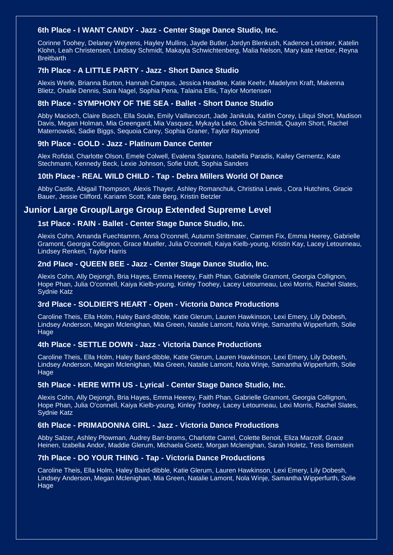## **6th Place - I WANT CANDY - Jazz - Center Stage Dance Studio, Inc.**

Corinne Toohey, Delaney Weyrens, Hayley Mullins, Jayde Butler, Jordyn Blenkush, Kadence Lorinser, Katelin Klohn, Leah Christensen, Lindsay Schmidt, Makayla Schwichtenberg, Malia Nelson, Mary kate Herber, Reyna **Breitbarth** 

#### **7th Place - A LITTLE PARTY - Jazz - Short Dance Studio**

Alexis Werle, Brianna Burton, Hannah Campus, Jessica Headlee, Katie Keehr, Madelynn Kraft, Makenna Blietz, Onalie Dennis, Sara Nagel, Sophia Pena, Talaina Ellis, Taylor Mortensen

#### **8th Place - SYMPHONY OF THE SEA - Ballet - Short Dance Studio**

Abby Macioch, Claire Busch, Ella Soule, Emily Vaillancourt, Jade Janikula, Kaitlin Corey, Liliqui Short, Madison Davis, Megan Holman, Mia Greengard, Mia Vasquez, Mykayla Leko, Olivia Schmidt, Quayin Short, Rachel Maternowski, Sadie Biggs, Sequoia Carey, Sophia Graner, Taylor Raymond

#### **9th Place - GOLD - Jazz - Platinum Dance Center**

Alex Rofidal, Charlotte Olson, Emele Colwell, Evalena Sparano, Isabella Paradis, Kailey Gernentz, Kate Stechmann, Kennedy Beck, Lexie Johnson, Sofie Utoft, Sophia Sanders

#### **10th Place - REAL WILD CHILD - Tap - Debra Millers World Of Dance**

Abby Castle, Abigail Thompson, Alexis Thayer, Ashley Romanchuk, Christina Lewis , Cora Hutchins, Gracie Bauer, Jessie Clifford, Kariann Scott, Kate Berg, Kristin Betzler

# **Junior Large Group/Large Group Extended Supreme Level**

#### **1st Place - RAIN - Ballet - Center Stage Dance Studio, Inc.**

Alexis Cohn, Amanda Fuechtamnn, Anna O'connell, Autumn Strittmater, Carmen Fix, Emma Heerey, Gabrielle Gramont, Georgia Collignon, Grace Mueller, Julia O'connell, Kaiya Kielb-young, Kristin Kay, Lacey Letourneau, Lindsey Renken, Taylor Harris

#### **2nd Place - QUEEN BEE - Jazz - Center Stage Dance Studio, Inc.**

Alexis Cohn, Ally Dejongh, Bria Hayes, Emma Heerey, Faith Phan, Gabrielle Gramont, Georgia Collignon, Hope Phan, Julia O'connell, Kaiya Kielb-young, Kinley Toohey, Lacey Letourneau, Lexi Morris, Rachel Slates, Sydnie Katz

#### **3rd Place - SOLDIER'S HEART - Open - Victoria Dance Productions**

Caroline Theis, Ella Holm, Haley Baird-dibble, Katie Glerum, Lauren Hawkinson, Lexi Emery, Lily Dobesh, Lindsey Anderson, Megan Mclenighan, Mia Green, Natalie Lamont, Nola Winje, Samantha Wipperfurth, Solie Hage

#### **4th Place - SETTLE DOWN - Jazz - Victoria Dance Productions**

Caroline Theis, Ella Holm, Haley Baird-dibble, Katie Glerum, Lauren Hawkinson, Lexi Emery, Lily Dobesh, Lindsey Anderson, Megan Mclenighan, Mia Green, Natalie Lamont, Nola Winje, Samantha Wipperfurth, Solie **Hage** 

#### **5th Place - HERE WITH US - Lyrical - Center Stage Dance Studio, Inc.**

Alexis Cohn, Ally Dejongh, Bria Hayes, Emma Heerey, Faith Phan, Gabrielle Gramont, Georgia Collignon, Hope Phan, Julia O'connell, Kaiya Kielb-young, Kinley Toohey, Lacey Letourneau, Lexi Morris, Rachel Slates, Sydnie Katz

#### **6th Place - PRIMADONNA GIRL - Jazz - Victoria Dance Productions**

Abby Salzer, Ashley Plowman, Audrey Barr-broms, Charlotte Carrel, Colette Benoit, Eliza Marzolf, Grace Heinen, Izabella Andor, Maddie Glerum, Michaela Goetz, Morgan Mclenighan, Sarah Holetz, Tess Bernstein

#### **7th Place - DO YOUR THING - Tap - Victoria Dance Productions**

Caroline Theis, Ella Holm, Haley Baird-dibble, Katie Glerum, Lauren Hawkinson, Lexi Emery, Lily Dobesh, Lindsey Anderson, Megan Mclenighan, Mia Green, Natalie Lamont, Nola Winje, Samantha Wipperfurth, Solie Hage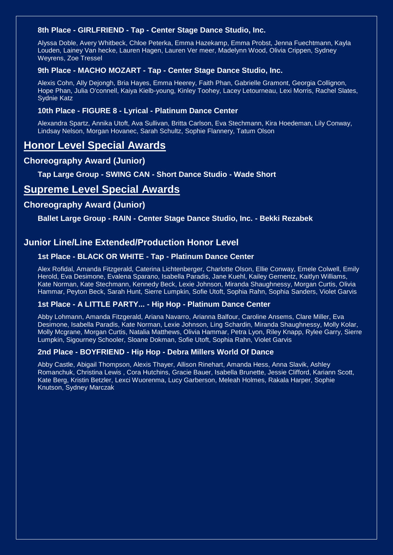# **8th Place - GIRLFRIEND - Tap - Center Stage Dance Studio, Inc.**

Alyssa Doble, Avery Whitbeck, Chloe Peterka, Emma Hazekamp, Emma Probst, Jenna Fuechtmann, Kayla Louden, Lainey Van hecke, Lauren Hagen, Lauren Ver meer, Madelynn Wood, Olivia Crippen, Sydney Weyrens, Zoe Tressel

## **9th Place - MACHO MOZART - Tap - Center Stage Dance Studio, Inc.**

Alexis Cohn, Ally Dejongh, Bria Hayes, Emma Heerey, Faith Phan, Gabrielle Gramont, Georgia Collignon, Hope Phan, Julia O'connell, Kaiya Kielb-young, Kinley Toohey, Lacey Letourneau, Lexi Morris, Rachel Slates, Sydnie Katz

## **10th Place - FIGURE 8 - Lyrical - Platinum Dance Center**

Alexandra Spartz, Annika Utoft, Ava Sullivan, Britta Carlson, Eva Stechmann, Kira Hoedeman, Lily Conway, Lindsay Nelson, Morgan Hovanec, Sarah Schultz, Sophie Flannery, Tatum Olson

# **Honor Level Special Awards**

# **Choreography Award (Junior)**

**Tap Large Group - SWING CAN - Short Dance Studio - Wade Short**

# **Supreme Level Special Awards**

# **Choreography Award (Junior)**

**Ballet Large Group - RAIN - Center Stage Dance Studio, Inc. - Bekki Rezabek**

# **Junior Line/Line Extended/Production Honor Level**

# **1st Place - BLACK OR WHITE - Tap - Platinum Dance Center**

Alex Rofidal, Amanda Fitzgerald, Caterina Lichtenberger, Charlotte Olson, Ellie Conway, Emele Colwell, Emily Herold, Eva Desimone, Evalena Sparano, Isabella Paradis, Jane Kuehl, Kailey Gernentz, Kaitlyn Williams, Kate Norman, Kate Stechmann, Kennedy Beck, Lexie Johnson, Miranda Shaughnessy, Morgan Curtis, Olivia Hammar, Peyton Beck, Sarah Hunt, Sierre Lumpkin, Sofie Utoft, Sophia Rahn, Sophia Sanders, Violet Garvis

#### **1st Place - A LITTLE PARTY... - Hip Hop - Platinum Dance Center**

Abby Lohmann, Amanda Fitzgerald, Ariana Navarro, Arianna Balfour, Caroline Ansems, Clare Miller, Eva Desimone, Isabella Paradis, Kate Norman, Lexie Johnson, Ling Schardin, Miranda Shaughnessy, Molly Kolar, Molly Mcgrane, Morgan Curtis, Natalia Matthews, Olivia Hammar, Petra Lyon, Riley Knapp, Rylee Garry, Sierre Lumpkin, Sigourney Schooler, Sloane Dokman, Sofie Utoft, Sophia Rahn, Violet Garvis

#### **2nd Place - BOYFRIEND - Hip Hop - Debra Millers World Of Dance**

Abby Castle, Abigail Thompson, Alexis Thayer, Allison Rinehart, Amanda Hess, Anna Slavik, Ashley Romanchuk, Christina Lewis , Cora Hutchins, Gracie Bauer, Isabella Brunette, Jessie Clifford, Kariann Scott, Kate Berg, Kristin Betzler, Lexci Wuorenma, Lucy Garberson, Meleah Holmes, Rakala Harper, Sophie Knutson, Sydney Marczak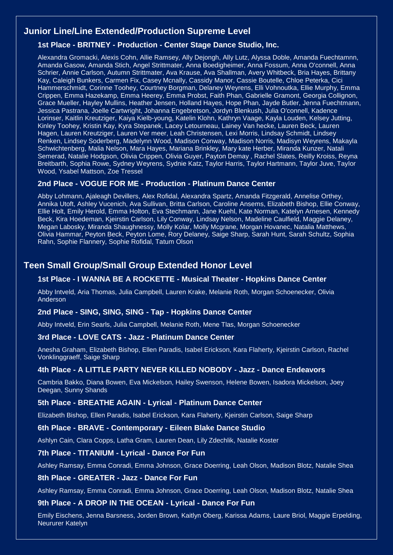# **Junior Line/Line Extended/Production Supreme Level**

# **1st Place - BRITNEY - Production - Center Stage Dance Studio, Inc.**

Alexandra Gromacki, Alexis Cohn, Allie Ramsey, Ally Dejongh, Ally Lutz, Alyssa Doble, Amanda Fuechtamnn, Amanda Gasow, Amanda Stich, Angel Strittmater, Anna Boedigheimer, Anna Fossum, Anna O'connell, Anna Schrier, Annie Carlson, Autumn Strittmater, Ava Krause, Ava Shallman, Avery Whitbeck, Bria Hayes, Brittany Kay, Caleigh Bunkers, Carmen Fix, Casey Mcnally, Cassidy Manor, Cassie Boutelle, Chloe Peterka, Cici Hammerschmidt, Corinne Toohey, Courtney Borgman, Delaney Weyrens, Elli Vohnoutka, Ellie Murphy, Emma Crippen, Emma Hazekamp, Emma Heerey, Emma Probst, Faith Phan, Gabrielle Gramont, Georgia Collignon, Grace Mueller, Hayley Mullins, Heather Jensen, Holland Hayes, Hope Phan, Jayde Butler, Jenna Fuechtmann, Jessica Pastrana, Joelle Cartwright, Johanna Engebretson, Jordyn Blenkush, Julia O'connell, Kadence Lorinser, Kaitlin Kreutziger, Kaiya Kielb-young, Katelin Klohn, Kathryn Vaage, Kayla Louden, Kelsey Jutting, Kinley Toohey, Kristin Kay, Kyra Stepanek, Lacey Letourneau, Lainey Van hecke, Lauren Beck, Lauren Hagen, Lauren Kreutziger, Lauren Ver meer, Leah Christensen, Lexi Morris, Lindsay Schmidt, Lindsey Renken, Lindsey Soderberg, Madelynn Wood, Madison Conway, Madison Norris, Madisyn Weyrens, Makayla Schwichtenberg, Malia Nelson, Mara Hayes, Mariana Brinkley, Mary kate Herber, Miranda Kunzer, Natali Semerad, Natalie Hodgson, Olivia Crippen, Olivia Guyer, Payton Demay , Rachel Slates, Reilly Kroiss, Reyna Breitbarth, Sophia Rowe, Sydney Weyrens, Sydnie Katz, Taylor Harris, Taylor Hartmann, Taylor Juve, Taylor Wood, Ysabel Mattson, Zoe Tressel

## **2nd Place - VOGUE FOR ME - Production - Platinum Dance Center**

Abby Lohmann, Ajaleagh Devillers, Alex Rofidal, Alexandra Spartz, Amanda Fitzgerald, Annelise Orthey, Annika Utoft, Ashley Vucenich, Ava Sullivan, Britta Carlson, Caroline Ansems, Elizabeth Bishop, Ellie Conway, Ellie Holt, Emily Herold, Emma Holton, Eva Stechmann, Jane Kuehl, Kate Norman, Katelyn Arnesen, Kennedy Beck, Kira Hoedeman, Kjeirstin Carlson, Lily Conway, Lindsay Nelson, Madeline Caulfield, Maggie Delaney, Megan Labosky, Miranda Shaughnessy, Molly Kolar, Molly Mcgrane, Morgan Hovanec, Natalia Matthews, Olivia Hammar, Peyton Beck, Peyton Lome, Rory Delaney, Saige Sharp, Sarah Hunt, Sarah Schultz, Sophia Rahn, Sophie Flannery, Sophie Rofidal, Tatum Olson

# **Teen Small Group/Small Group Extended Honor Level**

# **1st Place - I WANNA BE A ROCKETTE - Musical Theater - Hopkins Dance Center**

Abby Intveld, Aria Thomas, Julia Campbell, Lauren Krake, Melanie Roth, Morgan Schoenecker, Olivia Anderson

#### **2nd Place - SING, SING, SING - Tap - Hopkins Dance Center**

Abby Intveld, Erin Searls, Julia Campbell, Melanie Roth, Mene Tlas, Morgan Schoenecker

#### **3rd Place - LOVE CATS - Jazz - Platinum Dance Center**

Anesha Graham, Elizabeth Bishop, Ellen Paradis, Isabel Erickson, Kara Flaherty, Kjeirstin Carlson, Rachel Vonklinggraeff, Saige Sharp

## **4th Place - A LITTLE PARTY NEVER KILLED NOBODY - Jazz - Dance Endeavors**

Cambria Bakko, Diana Bowen, Eva Mickelson, Hailey Swenson, Helene Bowen, Isadora Mickelson, Joey Deegan, Sunny Shands

#### **5th Place - BREATHE AGAIN - Lyrical - Platinum Dance Center**

Elizabeth Bishop, Ellen Paradis, Isabel Erickson, Kara Flaherty, Kjeirstin Carlson, Saige Sharp

#### **6th Place - BRAVE - Contemporary - Eileen Blake Dance Studio**

Ashlyn Cain, Clara Copps, Latha Gram, Lauren Dean, Lily Zdechlik, Natalie Koster

#### **7th Place - TITANIUM - Lyrical - Dance For Fun**

Ashley Ramsay, Emma Conradi, Emma Johnson, Grace Doerring, Leah Olson, Madison Blotz, Natalie Shea

#### **8th Place - GREATER - Jazz - Dance For Fun**

Ashley Ramsay, Emma Conradi, Emma Johnson, Grace Doerring, Leah Olson, Madison Blotz, Natalie Shea

#### **9th Place - A DROP IN THE OCEAN - Lyrical - Dance For Fun**

Emily Eischens, Jenna Barsness, Jorden Brown, Kaitlyn Oberg, Karissa Adams, Laure Briol, Maggie Erpelding, Neururer Katelyn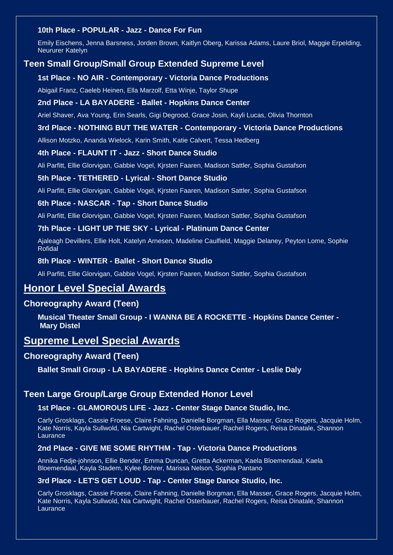# **10th Place - POPULAR - Jazz - Dance For Fun**

Emily Eischens, Jenna Barsness, Jorden Brown, Kaitlyn Oberg, Karissa Adams, Laure Briol, Maggie Erpelding, Neururer Katelyn

# **Teen Small Group/Small Group Extended Supreme Level**

#### **1st Place - NO AIR - Contemporary - Victoria Dance Productions**

Abigail Franz, Caeleb Heinen, Ella Marzolf, Etta Winje, Taylor Shupe

#### **2nd Place - LA BAYADERE - Ballet - Hopkins Dance Center**

Ariel Shaver, Ava Young, Erin Searls, Gigi Degrood, Grace Josin, Kayli Lucas, Olivia Thornton

#### **3rd Place - NOTHING BUT THE WATER - Contemporary - Victoria Dance Productions**

Allison Motzko, Ananda Wielock, Karin Smith, Katie Calvert, Tessa Hedberg

#### **4th Place - FLAUNT IT - Jazz - Short Dance Studio**

Ali Parfitt, Ellie Glorvigan, Gabbie Vogel, Kjrsten Faaren, Madison Sattler, Sophia Gustafson

#### **5th Place - TETHERED - Lyrical - Short Dance Studio**

Ali Parfitt, Ellie Glorvigan, Gabbie Vogel, Kjrsten Faaren, Madison Sattler, Sophia Gustafson

#### **6th Place - NASCAR - Tap - Short Dance Studio**

Ali Parfitt, Ellie Glorvigan, Gabbie Vogel, Kjrsten Faaren, Madison Sattler, Sophia Gustafson

#### **7th Place - LIGHT UP THE SKY - Lyrical - Platinum Dance Center**

Ajaleagh Devillers, Ellie Holt, Katelyn Arnesen, Madeline Caulfield, Maggie Delaney, Peyton Lome, Sophie **Rofidal** 

#### **8th Place - WINTER - Ballet - Short Dance Studio**

Ali Parfitt, Ellie Glorvigan, Gabbie Vogel, Kjrsten Faaren, Madison Sattler, Sophia Gustafson

# **Honor Level Special Awards**

# **Choreography Award (Teen)**

**Musical Theater Small Group - I WANNA BE A ROCKETTE - Hopkins Dance Center - Mary Distel**

# **Supreme Level Special Awards**

### **Choreography Award (Teen)**

**Ballet Small Group - LA BAYADERE - Hopkins Dance Center - Leslie Daly**

#### **Teen Large Group/Large Group Extended Honor Level**

#### **1st Place - GLAMOROUS LIFE - Jazz - Center Stage Dance Studio, Inc.**

Carly Grosklags, Cassie Froese, Claire Fahning, Danielle Borgman, Ella Masser, Grace Rogers, Jacquie Holm, Kate Norris, Kayla Sullwold, Nia Cartwight, Rachel Osterbauer, Rachel Rogers, Reisa Dinatale, Shannon Laurance

# **2nd Place - GIVE ME SOME RHYTHM - Tap - Victoria Dance Productions**

Annika Fedje-johnson, Ellie Bender, Emma Duncan, Gretta Ackerman, Kaela Bloemendaal, Kaela Bloemendaal, Kayla Stadem, Kylee Bohrer, Marissa Nelson, Sophia Pantano

#### **3rd Place - LET'S GET LOUD - Tap - Center Stage Dance Studio, Inc.**

Carly Grosklags, Cassie Froese, Claire Fahning, Danielle Borgman, Ella Masser, Grace Rogers, Jacquie Holm, Kate Norris, Kayla Sullwold, Nia Cartwight, Rachel Osterbauer, Rachel Rogers, Reisa Dinatale, Shannon Laurance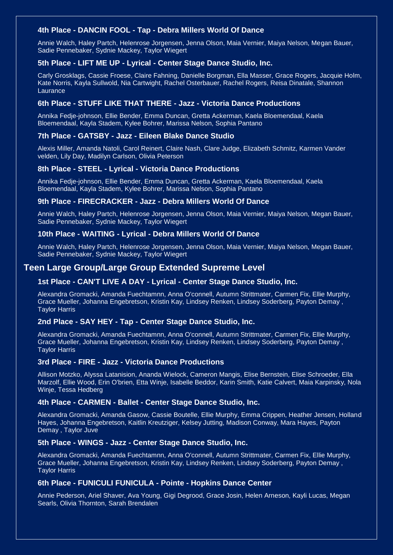# **4th Place - DANCIN FOOL - Tap - Debra Millers World Of Dance**

Annie Walch, Haley Partch, Helenrose Jorgensen, Jenna Olson, Maia Vernier, Maiya Nelson, Megan Bauer, Sadie Pennebaker, Sydnie Mackey, Taylor Wiegert

### **5th Place - LIFT ME UP - Lyrical - Center Stage Dance Studio, Inc.**

Carly Grosklags, Cassie Froese, Claire Fahning, Danielle Borgman, Ella Masser, Grace Rogers, Jacquie Holm, Kate Norris, Kayla Sullwold, Nia Cartwight, Rachel Osterbauer, Rachel Rogers, Reisa Dinatale, Shannon Laurance

### **6th Place - STUFF LIKE THAT THERE - Jazz - Victoria Dance Productions**

Annika Fedje-johnson, Ellie Bender, Emma Duncan, Gretta Ackerman, Kaela Bloemendaal, Kaela Bloemendaal, Kayla Stadem, Kylee Bohrer, Marissa Nelson, Sophia Pantano

#### **7th Place - GATSBY - Jazz - Eileen Blake Dance Studio**

Alexis Miller, Amanda Natoli, Carol Reinert, Claire Nash, Clare Judge, Elizabeth Schmitz, Karmen Vander velden, Lily Day, Madilyn Carlson, Olivia Peterson

## **8th Place - STEEL - Lyrical - Victoria Dance Productions**

Annika Fedje-johnson, Ellie Bender, Emma Duncan, Gretta Ackerman, Kaela Bloemendaal, Kaela Bloemendaal, Kayla Stadem, Kylee Bohrer, Marissa Nelson, Sophia Pantano

#### **9th Place - FIRECRACKER - Jazz - Debra Millers World Of Dance**

Annie Walch, Haley Partch, Helenrose Jorgensen, Jenna Olson, Maia Vernier, Maiya Nelson, Megan Bauer, Sadie Pennebaker, Sydnie Mackey, Taylor Wiegert

#### **10th Place - WAITING - Lyrical - Debra Millers World Of Dance**

Annie Walch, Haley Partch, Helenrose Jorgensen, Jenna Olson, Maia Vernier, Maiya Nelson, Megan Bauer, Sadie Pennebaker, Sydnie Mackey, Taylor Wiegert

# **Teen Large Group/Large Group Extended Supreme Level**

### **1st Place - CAN'T LIVE A DAY - Lyrical - Center Stage Dance Studio, Inc.**

Alexandra Gromacki, Amanda Fuechtamnn, Anna O'connell, Autumn Strittmater, Carmen Fix, Ellie Murphy, Grace Mueller, Johanna Engebretson, Kristin Kay, Lindsey Renken, Lindsey Soderberg, Payton Demay , Taylor Harris

#### **2nd Place - SAY HEY - Tap - Center Stage Dance Studio, Inc.**

Alexandra Gromacki, Amanda Fuechtamnn, Anna O'connell, Autumn Strittmater, Carmen Fix, Ellie Murphy, Grace Mueller, Johanna Engebretson, Kristin Kay, Lindsey Renken, Lindsey Soderberg, Payton Demay , Taylor Harris

#### **3rd Place - FIRE - Jazz - Victoria Dance Productions**

Allison Motzko, Alyssa Latanision, Ananda Wielock, Cameron Mangis, Elise Bernstein, Elise Schroeder, Ella Marzolf, Ellie Wood, Erin O'brien, Etta Winje, Isabelle Beddor, Karin Smith, Katie Calvert, Maia Karpinsky, Nola Winje, Tessa Hedberg

#### **4th Place - CARMEN - Ballet - Center Stage Dance Studio, Inc.**

Alexandra Gromacki, Amanda Gasow, Cassie Boutelle, Ellie Murphy, Emma Crippen, Heather Jensen, Holland Hayes, Johanna Engebretson, Kaitlin Kreutziger, Kelsey Jutting, Madison Conway, Mara Hayes, Payton Demay , Taylor Juve

#### **5th Place - WINGS - Jazz - Center Stage Dance Studio, Inc.**

Alexandra Gromacki, Amanda Fuechtamnn, Anna O'connell, Autumn Strittmater, Carmen Fix, Ellie Murphy, Grace Mueller, Johanna Engebretson, Kristin Kay, Lindsey Renken, Lindsey Soderberg, Payton Demay , Taylor Harris

## **6th Place - FUNICULI FUNICULA - Pointe - Hopkins Dance Center**

Annie Pederson, Ariel Shaver, Ava Young, Gigi Degrood, Grace Josin, Helen Arneson, Kayli Lucas, Megan Searls, Olivia Thornton, Sarah Brendalen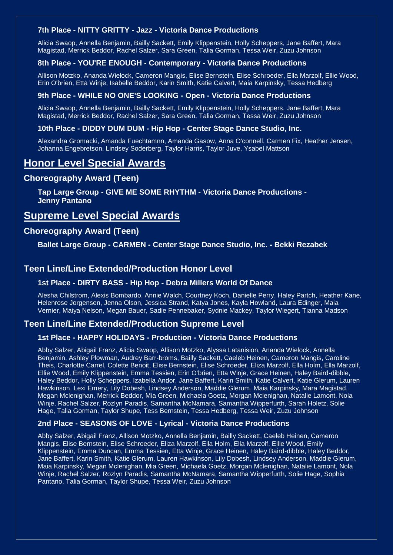# **7th Place - NITTY GRITTY - Jazz - Victoria Dance Productions**

Alicia Swaop, Annella Benjamin, Bailly Sackett, Emily Klippenstein, Holly Scheppers, Jane Baffert, Mara Magistad, Merrick Beddor, Rachel Salzer, Sara Green, Talia Gorman, Tessa Weir, Zuzu Johnson

### **8th Place - YOU'RE ENOUGH - Contemporary - Victoria Dance Productions**

Allison Motzko, Ananda Wielock, Cameron Mangis, Elise Bernstein, Elise Schroeder, Ella Marzolf, Ellie Wood, Erin O'brien, Etta Winje, Isabelle Beddor, Karin Smith, Katie Calvert, Maia Karpinsky, Tessa Hedberg

### **9th Place - WHILE NO ONE'S LOOKING - Open - Victoria Dance Productions**

Alicia Swaop, Annella Benjamin, Bailly Sackett, Emily Klippenstein, Holly Scheppers, Jane Baffert, Mara Magistad, Merrick Beddor, Rachel Salzer, Sara Green, Talia Gorman, Tessa Weir, Zuzu Johnson

### **10th Place - DIDDY DUM DUM - Hip Hop - Center Stage Dance Studio, Inc.**

Alexandra Gromacki, Amanda Fuechtamnn, Amanda Gasow, Anna O'connell, Carmen Fix, Heather Jensen, Johanna Engebretson, Lindsey Soderberg, Taylor Harris, Taylor Juve, Ysabel Mattson

# **Honor Level Special Awards**

# **Choreography Award (Teen)**

**Tap Large Group - GIVE ME SOME RHYTHM - Victoria Dance Productions - Jenny Pantano**

# **Supreme Level Special Awards**

# **Choreography Award (Teen)**

**Ballet Large Group - CARMEN - Center Stage Dance Studio, Inc. - Bekki Rezabek**

# **Teen Line/Line Extended/Production Honor Level**

# **1st Place - DIRTY BASS - Hip Hop - Debra Millers World Of Dance**

Alesha Chilstrom, Alexis Bombardo, Annie Walch, Courtney Koch, Danielle Perry, Haley Partch, Heather Kane, Helenrose Jorgensen, Jenna Olson, Jessica Strand, Katya Jones, Kayla Howland, Laura Edinger, Maia Vernier, Maiya Nelson, Megan Bauer, Sadie Pennebaker, Sydnie Mackey, Taylor Wiegert, Tianna Madson

# **Teen Line/Line Extended/Production Supreme Level**

## **1st Place - HAPPY HOLIDAYS - Production - Victoria Dance Productions**

Abby Salzer, Abigail Franz, Alicia Swaop, Allison Motzko, Alyssa Latanision, Ananda Wielock, Annella Benjamin, Ashley Plowman, Audrey Barr-broms, Bailly Sackett, Caeleb Heinen, Cameron Mangis, Caroline Theis, Charlotte Carrel, Colette Benoit, Elise Bernstein, Elise Schroeder, Eliza Marzolf, Ella Holm, Ella Marzolf, Ellie Wood, Emily Klippenstein, Emma Tessien, Erin O'brien, Etta Winje, Grace Heinen, Haley Baird-dibble, Haley Beddor, Holly Scheppers, Izabella Andor, Jane Baffert, Karin Smith, Katie Calvert, Katie Glerum, Lauren Hawkinson, Lexi Emery, Lily Dobesh, Lindsey Anderson, Maddie Glerum, Maia Karpinsky, Mara Magistad, Megan Mclenighan, Merrick Beddor, Mia Green, Michaela Goetz, Morgan Mclenighan, Natalie Lamont, Nola Winje, Rachel Salzer, Rozlyn Paradis, Samantha McNamara, Samantha Wipperfurth, Sarah Holetz, Solie Hage, Talia Gorman, Taylor Shupe, Tess Bernstein, Tessa Hedberg, Tessa Weir, Zuzu Johnson

### **2nd Place - SEASONS OF LOVE - Lyrical - Victoria Dance Productions**

Abby Salzer, Abigail Franz, Allison Motzko, Annella Benjamin, Bailly Sackett, Caeleb Heinen, Cameron Mangis, Elise Bernstein, Elise Schroeder, Eliza Marzolf, Ella Holm, Ella Marzolf, Ellie Wood, Emily Klippenstein, Emma Duncan, Emma Tessien, Etta Winje, Grace Heinen, Haley Baird-dibble, Haley Beddor, Jane Baffert, Karin Smith, Katie Glerum, Lauren Hawkinson, Lily Dobesh, Lindsey Anderson, Maddie Glerum, Maia Karpinsky, Megan Mclenighan, Mia Green, Michaela Goetz, Morgan Mclenighan, Natalie Lamont, Nola Winje, Rachel Salzer, Rozlyn Paradis, Samantha McNamara, Samantha Wipperfurth, Solie Hage, Sophia Pantano, Talia Gorman, Taylor Shupe, Tessa Weir, Zuzu Johnson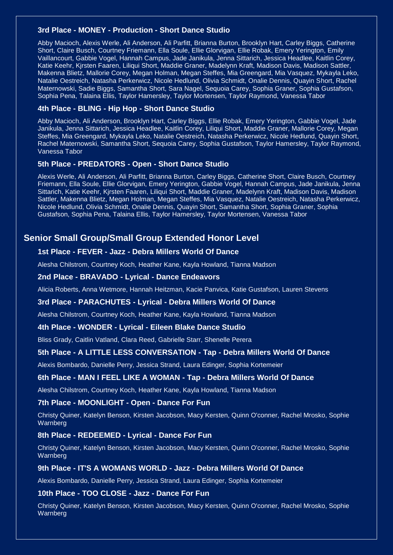#### **3rd Place - MONEY - Production - Short Dance Studio**

Abby Macioch, Alexis Werle, Ali Anderson, Ali Parfitt, Brianna Burton, Brooklyn Hart, Carley Biggs, Catherine Short, Claire Busch, Courtney Friemann, Ella Soule, Ellie Glorvigan, Ellie Robak, Emery Yerington, Emily Vaillancourt, Gabbie Vogel, Hannah Campus, Jade Janikula, Jenna Sittarich, Jessica Headlee, Kaitlin Corey, Katie Keehr, Kjrsten Faaren, Liliqui Short, Maddie Graner, Madelynn Kraft, Madison Davis, Madison Sattler, Makenna Blietz, Mallorie Corey, Megan Holman, Megan Steffes, Mia Greengard, Mia Vasquez, Mykayla Leko, Natalie Oestreich, Natasha Perkerwicz, Nicole Hedlund, Olivia Schmidt, Onalie Dennis, Quayin Short, Rachel Maternowski, Sadie Biggs, Samantha Short, Sara Nagel, Sequoia Carey, Sophia Graner, Sophia Gustafson, Sophia Pena, Talaina Ellis, Taylor Hamersley, Taylor Mortensen, Taylor Raymond, Vanessa Tabor

### **4th Place - BLING - Hip Hop - Short Dance Studio**

Abby Macioch, Ali Anderson, Brooklyn Hart, Carley Biggs, Ellie Robak, Emery Yerington, Gabbie Vogel, Jade Janikula, Jenna Sittarich, Jessica Headlee, Kaitlin Corey, Liliqui Short, Maddie Graner, Mallorie Corey, Megan Steffes, Mia Greengard, Mykayla Leko, Natalie Oestreich, Natasha Perkerwicz, Nicole Hedlund, Quayin Short, Rachel Maternowski, Samantha Short, Sequoia Carey, Sophia Gustafson, Taylor Hamersley, Taylor Raymond, Vanessa Tabor

#### **5th Place - PREDATORS - Open - Short Dance Studio**

Alexis Werle, Ali Anderson, Ali Parfitt, Brianna Burton, Carley Biggs, Catherine Short, Claire Busch, Courtney Friemann, Ella Soule, Ellie Glorvigan, Emery Yerington, Gabbie Vogel, Hannah Campus, Jade Janikula, Jenna Sittarich, Katie Keehr, Kjrsten Faaren, Liliqui Short, Maddie Graner, Madelynn Kraft, Madison Davis, Madison Sattler, Makenna Blietz, Megan Holman, Megan Steffes, Mia Vasquez, Natalie Oestreich, Natasha Perkerwicz, Nicole Hedlund, Olivia Schmidt, Onalie Dennis, Quayin Short, Samantha Short, Sophia Graner, Sophia Gustafson, Sophia Pena, Talaina Ellis, Taylor Hamersley, Taylor Mortensen, Vanessa Tabor

# **Senior Small Group/Small Group Extended Honor Level**

# **1st Place - FEVER - Jazz - Debra Millers World Of Dance**

Alesha Chilstrom, Courtney Koch, Heather Kane, Kayla Howland, Tianna Madson

#### **2nd Place - BRAVADO - Lyrical - Dance Endeavors**

Alicia Roberts, Anna Wetmore, Hannah Heitzman, Kacie Panvica, Katie Gustafson, Lauren Stevens

#### **3rd Place - PARACHUTES - Lyrical - Debra Millers World Of Dance**

Alesha Chilstrom, Courtney Koch, Heather Kane, Kayla Howland, Tianna Madson

#### **4th Place - WONDER - Lyrical - Eileen Blake Dance Studio**

Bliss Grady, Caitlin Vatland, Clara Reed, Gabrielle Starr, Shenelle Perera

#### **5th Place - A LITTLE LESS CONVERSATION - Tap - Debra Millers World Of Dance**

Alexis Bombardo, Danielle Perry, Jessica Strand, Laura Edinger, Sophia Kortemeier

#### **6th Place - MAN I FEEL LIKE A WOMAN - Tap - Debra Millers World Of Dance**

Alesha Chilstrom, Courtney Koch, Heather Kane, Kayla Howland, Tianna Madson

#### **7th Place - MOONLIGHT - Open - Dance For Fun**

Christy Quiner, Katelyn Benson, Kirsten Jacobson, Macy Kersten, Quinn O'conner, Rachel Mrosko, Sophie **Warnberg** 

#### **8th Place - REDEEMED - Lyrical - Dance For Fun**

Christy Quiner, Katelyn Benson, Kirsten Jacobson, Macy Kersten, Quinn O'conner, Rachel Mrosko, Sophie **Warnberg** 

#### **9th Place - IT'S A WOMANS WORLD - Jazz - Debra Millers World Of Dance**

Alexis Bombardo, Danielle Perry, Jessica Strand, Laura Edinger, Sophia Kortemeier

#### **10th Place - TOO CLOSE - Jazz - Dance For Fun**

Christy Quiner, Katelyn Benson, Kirsten Jacobson, Macy Kersten, Quinn O'conner, Rachel Mrosko, Sophie Warnberg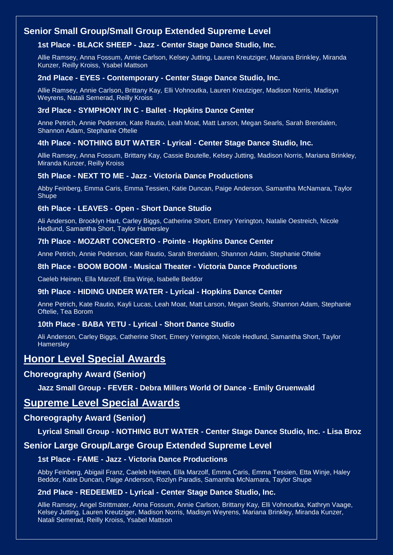# **Senior Small Group/Small Group Extended Supreme Level**

# **1st Place - BLACK SHEEP - Jazz - Center Stage Dance Studio, Inc.**

Allie Ramsey, Anna Fossum, Annie Carlson, Kelsey Jutting, Lauren Kreutziger, Mariana Brinkley, Miranda Kunzer, Reilly Kroiss, Ysabel Mattson

### **2nd Place - EYES - Contemporary - Center Stage Dance Studio, Inc.**

Allie Ramsey, Annie Carlson, Brittany Kay, Elli Vohnoutka, Lauren Kreutziger, Madison Norris, Madisyn Weyrens, Natali Semerad, Reilly Kroiss

### **3rd Place - SYMPHONY IN C - Ballet - Hopkins Dance Center**

Anne Petrich, Annie Pederson, Kate Rautio, Leah Moat, Matt Larson, Megan Searls, Sarah Brendalen, Shannon Adam, Stephanie Oftelie

## **4th Place - NOTHING BUT WATER - Lyrical - Center Stage Dance Studio, Inc.**

Allie Ramsey, Anna Fossum, Brittany Kay, Cassie Boutelle, Kelsey Jutting, Madison Norris, Mariana Brinkley, Miranda Kunzer, Reilly Kroiss

#### **5th Place - NEXT TO ME - Jazz - Victoria Dance Productions**

Abby Feinberg, Emma Caris, Emma Tessien, Katie Duncan, Paige Anderson, Samantha McNamara, Taylor **Shupe** 

#### **6th Place - LEAVES - Open - Short Dance Studio**

Ali Anderson, Brooklyn Hart, Carley Biggs, Catherine Short, Emery Yerington, Natalie Oestreich, Nicole Hedlund, Samantha Short, Taylor Hamersley

#### **7th Place - MOZART CONCERTO - Pointe - Hopkins Dance Center**

Anne Petrich, Annie Pederson, Kate Rautio, Sarah Brendalen, Shannon Adam, Stephanie Oftelie

#### **8th Place - BOOM BOOM - Musical Theater - Victoria Dance Productions**

Caeleb Heinen, Ella Marzolf, Etta Winje, Isabelle Beddor

#### **9th Place - HIDING UNDER WATER - Lyrical - Hopkins Dance Center**

Anne Petrich, Kate Rautio, Kayli Lucas, Leah Moat, Matt Larson, Megan Searls, Shannon Adam, Stephanie Oftelie, Tea Borom

## **10th Place - BABA YETU - Lyrical - Short Dance Studio**

Ali Anderson, Carley Biggs, Catherine Short, Emery Yerington, Nicole Hedlund, Samantha Short, Taylor **Hamersley** 

# **Honor Level Special Awards**

# **Choreography Award (Senior)**

## **Jazz Small Group - FEVER - Debra Millers World Of Dance - Emily Gruenwald**

# **Supreme Level Special Awards**

## **Choreography Award (Senior)**

# **Lyrical Small Group - NOTHING BUT WATER - Center Stage Dance Studio, Inc. - Lisa Broz**

# **Senior Large Group/Large Group Extended Supreme Level**

#### **1st Place - FAME - Jazz - Victoria Dance Productions**

Abby Feinberg, Abigail Franz, Caeleb Heinen, Ella Marzolf, Emma Caris, Emma Tessien, Etta Winje, Haley Beddor, Katie Duncan, Paige Anderson, Rozlyn Paradis, Samantha McNamara, Taylor Shupe

#### **2nd Place - REDEEMED - Lyrical - Center Stage Dance Studio, Inc.**

Allie Ramsey, Angel Strittmater, Anna Fossum, Annie Carlson, Brittany Kay, Elli Vohnoutka, Kathryn Vaage, Kelsey Jutting, Lauren Kreutziger, Madison Norris, Madisyn Weyrens, Mariana Brinkley, Miranda Kunzer, Natali Semerad, Reilly Kroiss, Ysabel Mattson